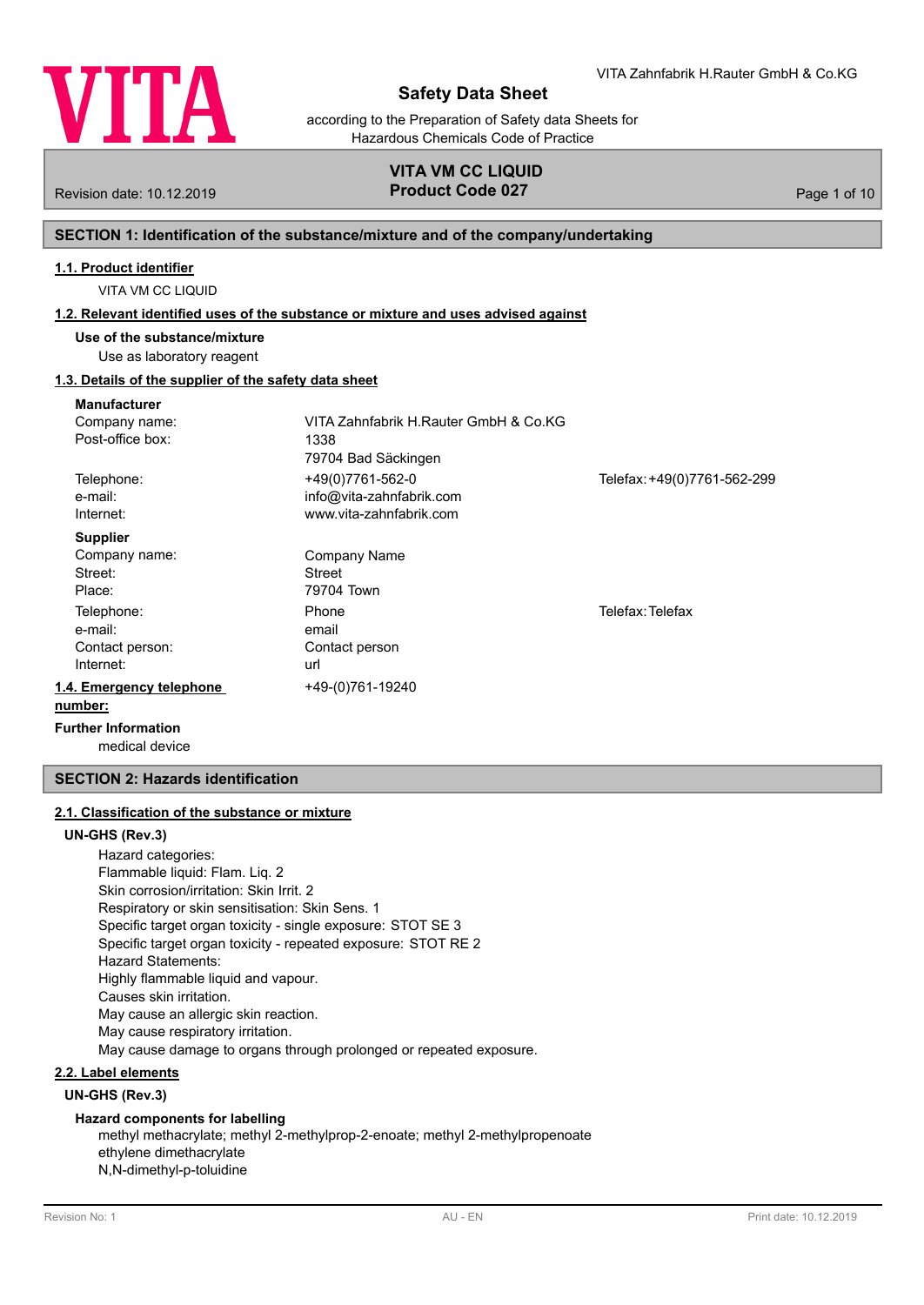

according to the Preparation of Safety data Sheets for Hazardous Chemicals Code of Practice

# **VITA VM CC LIQUID** Revision date: 10.12.2019 **Product Code 027** Page 1 of 10

# **SECTION 1: Identification of the substance/mixture and of the company/undertaking**

## **1.1. Product identifier**

VITA VM CC LIQUID

## **1.2. Relevant identified uses of the substance or mixture and uses advised against**

**Use of the substance/mixture**

## Use as laboratory reagent

## **1.3. Details of the supplier of the safety data sheet**

| <b>Manufacturer</b>                                   |                                                                         |                             |
|-------------------------------------------------------|-------------------------------------------------------------------------|-----------------------------|
| Company name:<br>Post-office box:                     | VITA Zahnfabrik H.Rauter GmbH & Co.KG<br>1338<br>79704 Bad Säckingen    |                             |
| Telephone:<br>e-mail:<br>Internet:                    | +49(0)7761-562-0<br>info@vita-zahnfabrik.com<br>www.vita-zahnfabrik.com | Telefax: +49(0)7761-562-299 |
| <b>Supplier</b><br>Company name:<br>Street:<br>Place: | <b>Company Name</b><br>Street<br>79704 Town                             |                             |
| Telephone:<br>e-mail:<br>Contact person:<br>Internet: | Phone<br>email<br>Contact person<br>url                                 | Telefax: Telefax            |
| 1.4. Emergency telephone<br>number:                   | +49-(0)761-19240                                                        |                             |

medical device **Further Information**

## **SECTION 2: Hazards identification**

## **2.1. Classification of the substance or mixture**

### **UN-GHS (Rev.3)**

Hazard categories: Flammable liquid: Flam. Liq. 2 Skin corrosion/irritation: Skin Irrit. 2 Respiratory or skin sensitisation: Skin Sens. 1 Specific target organ toxicity - single exposure: STOT SE 3 Specific target organ toxicity - repeated exposure: STOT RE 2 Hazard Statements: Highly flammable liquid and vapour. Causes skin irritation. May cause an allergic skin reaction. May cause respiratory irritation. May cause damage to organs through prolonged or repeated exposure.

## **2.2. Label elements**

# **UN-GHS (Rev.3)**

## **Hazard components for labelling**

methyl methacrylate; methyl 2-methylprop-2-enoate; methyl 2-methylpropenoate ethylene dimethacrylate N,N-dimethyl-p-toluidine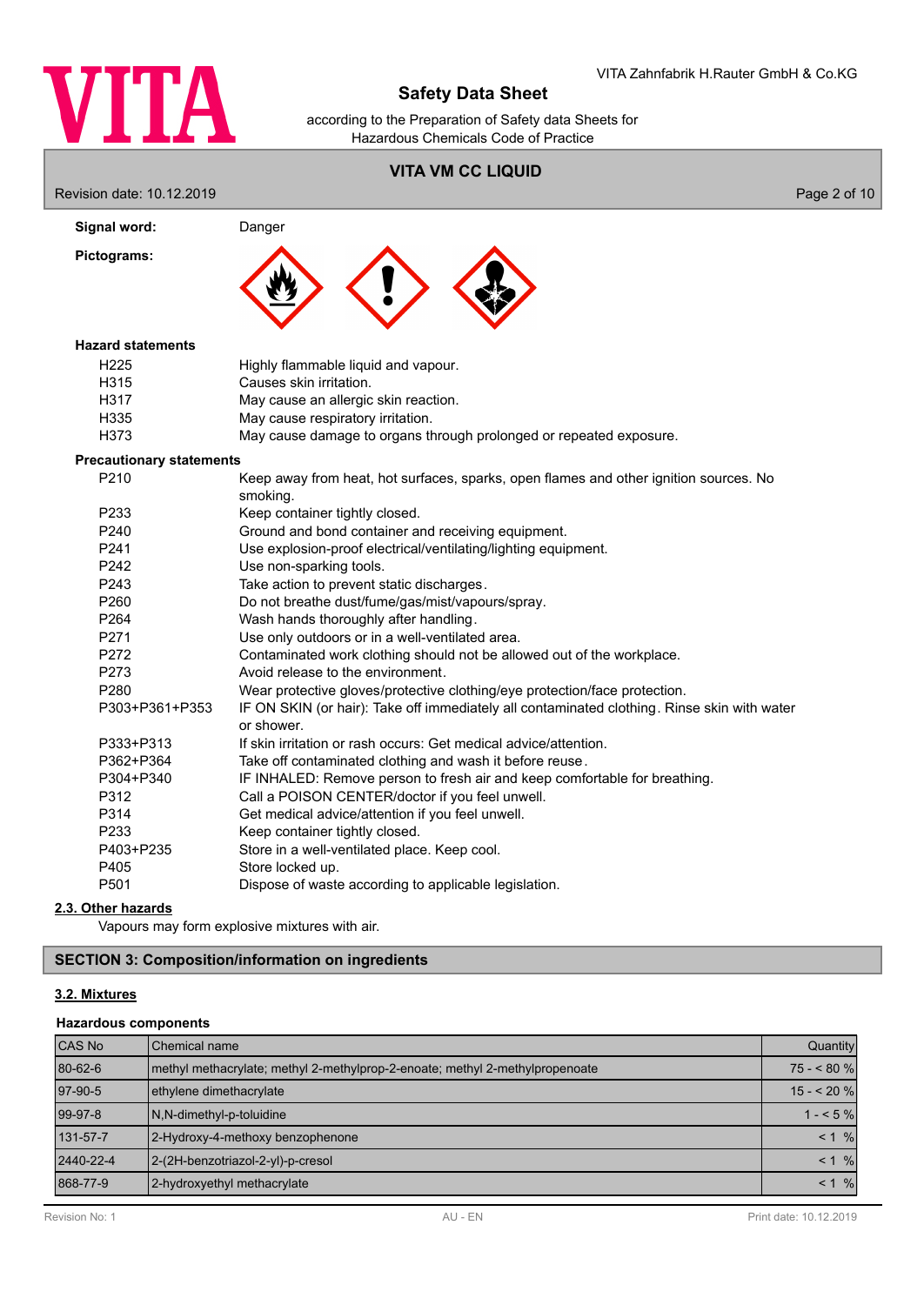

according to the Preparation of Safety data Sheets for Hazardous Chemicals Code of Practice

# **VITA VM CC LIQUID**

Revision date: 10.12.2019 **Page 2 of 10** 

| Signal word:                    | Danger                                                                                                    |  |  |  |
|---------------------------------|-----------------------------------------------------------------------------------------------------------|--|--|--|
| Pictograms:                     |                                                                                                           |  |  |  |
| <b>Hazard statements</b>        |                                                                                                           |  |  |  |
| H <sub>225</sub>                | Highly flammable liquid and vapour.                                                                       |  |  |  |
| H315                            | Causes skin irritation.                                                                                   |  |  |  |
| H317                            | May cause an allergic skin reaction.                                                                      |  |  |  |
| H335                            | May cause respiratory irritation.                                                                         |  |  |  |
| H373                            | May cause damage to organs through prolonged or repeated exposure.                                        |  |  |  |
| <b>Precautionary statements</b> |                                                                                                           |  |  |  |
| P210                            | Keep away from heat, hot surfaces, sparks, open flames and other ignition sources. No<br>smoking.         |  |  |  |
| P233                            | Keep container tightly closed.                                                                            |  |  |  |
| P240                            | Ground and bond container and receiving equipment.                                                        |  |  |  |
| P241                            | Use explosion-proof electrical/ventilating/lighting equipment.                                            |  |  |  |
| P242                            | Use non-sparking tools.                                                                                   |  |  |  |
| P243                            | Take action to prevent static discharges.                                                                 |  |  |  |
| P260                            | Do not breathe dust/fume/gas/mist/vapours/spray.                                                          |  |  |  |
| P <sub>264</sub>                | Wash hands thoroughly after handling.                                                                     |  |  |  |
| P271                            | Use only outdoors or in a well-ventilated area.                                                           |  |  |  |
| P272                            | Contaminated work clothing should not be allowed out of the workplace.                                    |  |  |  |
| P273                            | Avoid release to the environment.                                                                         |  |  |  |
| P280                            | Wear protective gloves/protective clothing/eye protection/face protection.                                |  |  |  |
| P303+P361+P353                  | IF ON SKIN (or hair): Take off immediately all contaminated clothing. Rinse skin with water<br>or shower. |  |  |  |
| P333+P313                       | If skin irritation or rash occurs: Get medical advice/attention.                                          |  |  |  |
| P362+P364                       | Take off contaminated clothing and wash it before reuse.                                                  |  |  |  |
| P304+P340                       | IF INHALED: Remove person to fresh air and keep comfortable for breathing.                                |  |  |  |
| P312                            | Call a POISON CENTER/doctor if you feel unwell.                                                           |  |  |  |
| P314                            | Get medical advice/attention if you feel unwell.                                                          |  |  |  |
| P233                            | Keep container tightly closed.                                                                            |  |  |  |
| P403+P235                       | Store in a well-ventilated place. Keep cool.                                                              |  |  |  |
| P405                            | Store locked up.                                                                                          |  |  |  |
| P501                            | Dispose of waste according to applicable legislation.                                                     |  |  |  |

## **2.3. Other hazards**

Vapours may form explosive mixtures with air.

# **SECTION 3: Composition/information on ingredients**

## **3.2. Mixtures**

## **Hazardous components**

| <b>CAS No</b> | l Chemical name                                                              | Quantity             |
|---------------|------------------------------------------------------------------------------|----------------------|
| 80-62-6       | methyl methacrylate; methyl 2-methylprop-2-enoate; methyl 2-methylpropenoate | $75 - 80%$           |
| 97-90-5       | ethylene dimethacrylate                                                      | $15 - 20%$           |
| 99-97-8       | N,N-dimethyl-p-toluidine                                                     | $1 - 5%$             |
| 131-57-7      | 2-Hydroxy-4-methoxy benzophenone                                             | < 1 %                |
| 2440-22-4     | 2-(2H-benzotriazol-2-yl)-p-cresol                                            | $< 1 \%$             |
| 868-77-9      | 2-hydroxyethyl methacrylate                                                  | $\frac{9}{6}$<br>< 1 |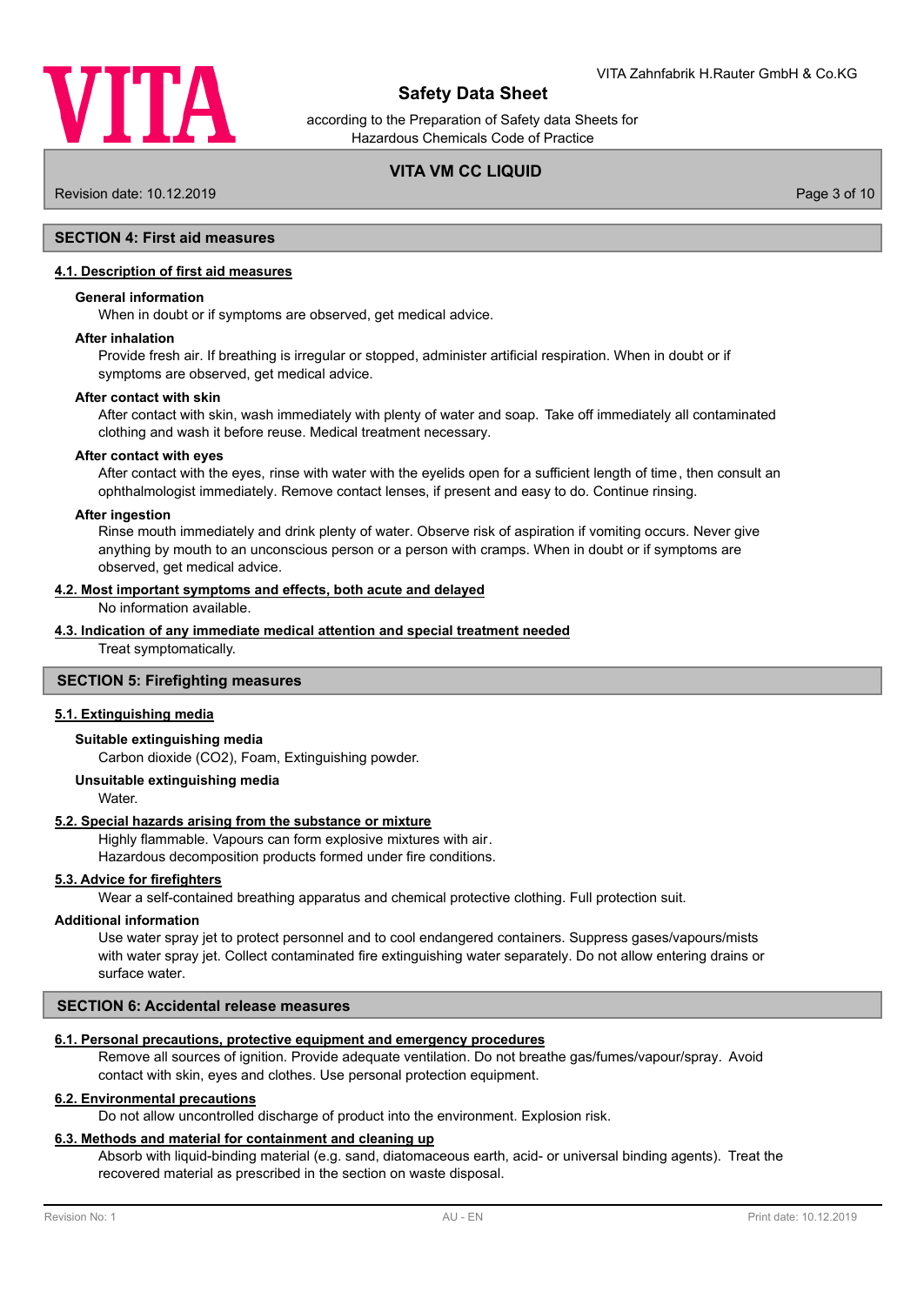

according to the Preparation of Safety data Sheets for Hazardous Chemicals Code of Practice

# **VITA VM CC LIQUID**

Revision date: 10.12.2019 Page 3 of 10

# **SECTION 4: First aid measures**

## **4.1. Description of first aid measures**

## **General information**

When in doubt or if symptoms are observed, get medical advice.

#### **After inhalation**

Provide fresh air. If breathing is irregular or stopped, administer artificial respiration. When in doubt or if symptoms are observed, get medical advice.

### **After contact with skin**

After contact with skin, wash immediately with plenty of water and soap. Take off immediately all contaminated clothing and wash it before reuse. Medical treatment necessary.

#### **After contact with eyes**

After contact with the eyes, rinse with water with the eyelids open for a sufficient length of time, then consult an ophthalmologist immediately. Remove contact lenses, if present and easy to do. Continue rinsing.

#### **After ingestion**

Rinse mouth immediately and drink plenty of water. Observe risk of aspiration if vomiting occurs. Never give anything by mouth to an unconscious person or a person with cramps. When in doubt or if symptoms are observed, get medical advice.

#### **4.2. Most important symptoms and effects, both acute and delayed**

No information available.

#### **4.3. Indication of any immediate medical attention and special treatment needed**

Treat symptomatically.

## **SECTION 5: Firefighting measures**

### **5.1. Extinguishing media**

## **Suitable extinguishing media**

Carbon dioxide (CO2), Foam, Extinguishing powder.

#### **Unsuitable extinguishing media**

**Water** 

### **5.2. Special hazards arising from the substance or mixture**

Highly flammable. Vapours can form explosive mixtures with air.

Hazardous decomposition products formed under fire conditions.

## **5.3. Advice for firefighters**

Wear a self-contained breathing apparatus and chemical protective clothing. Full protection suit.

#### **Additional information**

Use water spray jet to protect personnel and to cool endangered containers. Suppress gases/vapours/mists with water spray jet. Collect contaminated fire extinguishing water separately. Do not allow entering drains or surface water.

## **SECTION 6: Accidental release measures**

### **6.1. Personal precautions, protective equipment and emergency procedures**

Remove all sources of ignition. Provide adequate ventilation. Do not breathe gas/fumes/vapour/spray. Avoid contact with skin, eyes and clothes. Use personal protection equipment.

### **6.2. Environmental precautions**

Do not allow uncontrolled discharge of product into the environment. Explosion risk.

## **6.3. Methods and material for containment and cleaning up**

Absorb with liquid-binding material (e.g. sand, diatomaceous earth, acid- or universal binding agents). Treat the recovered material as prescribed in the section on waste disposal.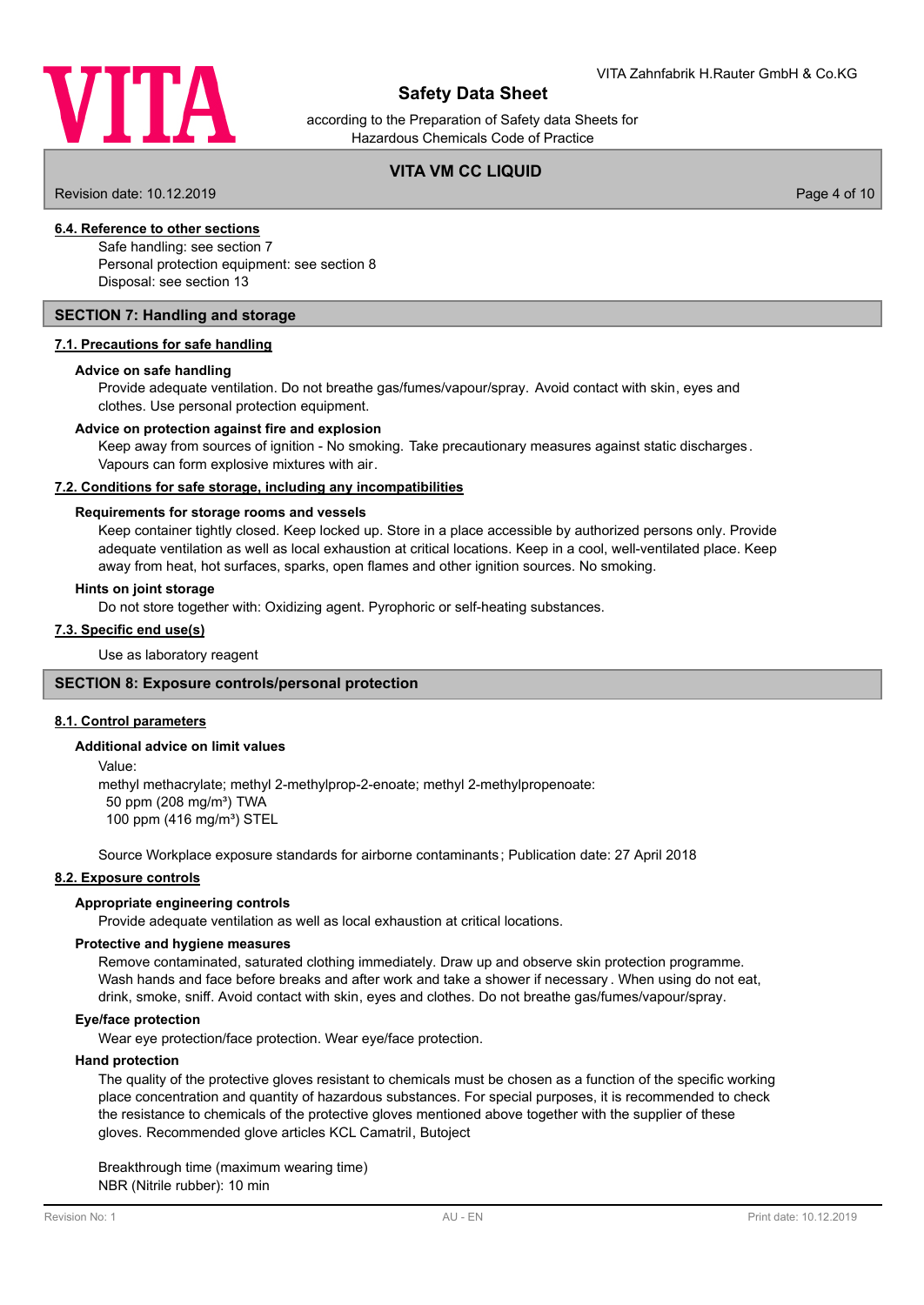

according to the Preparation of Safety data Sheets for Hazardous Chemicals Code of Practice

# **VITA VM CC LIQUID**

Revision date: 10.12.2019 **Page 4 of 10** 

## **6.4. Reference to other sections**

Safe handling: see section 7 Personal protection equipment: see section 8 Disposal: see section 13

## **SECTION 7: Handling and storage**

## **7.1. Precautions for safe handling**

### **Advice on safe handling**

Provide adequate ventilation. Do not breathe gas/fumes/vapour/spray. Avoid contact with skin, eyes and clothes. Use personal protection equipment.

## **Advice on protection against fire and explosion**

Keep away from sources of ignition - No smoking. Take precautionary measures against static discharges. Vapours can form explosive mixtures with air.

## **7.2. Conditions for safe storage, including any incompatibilities**

## **Requirements for storage rooms and vessels**

Keep container tightly closed. Keep locked up. Store in a place accessible by authorized persons only. Provide adequate ventilation as well as local exhaustion at critical locations. Keep in a cool, well-ventilated place. Keep away from heat, hot surfaces, sparks, open flames and other ignition sources. No smoking.

### **Hints on joint storage**

Do not store together with: Oxidizing agent. Pyrophoric or self-heating substances.

## **7.3. Specific end use(s)**

Use as laboratory reagent

### **SECTION 8: Exposure controls/personal protection**

### **8.1. Control parameters**

## **Additional advice on limit values**

Value:

methyl methacrylate; methyl 2-methylprop-2-enoate; methyl 2-methylpropenoate: 50 ppm (208 mg/m<sup>3</sup>) TWA 100 ppm (416 mg/m<sup>3</sup>) STEL

Source Workplace exposure standards for airborne contaminants ; Publication date: 27 April 2018

## **8.2. Exposure controls**

### **Appropriate engineering controls**

Provide adequate ventilation as well as local exhaustion at critical locations.

## **Protective and hygiene measures**

Remove contaminated, saturated clothing immediately. Draw up and observe skin protection programme. Wash hands and face before breaks and after work and take a shower if necessary . When using do not eat, drink, smoke, sniff. Avoid contact with skin, eyes and clothes. Do not breathe gas/fumes/vapour/spray.

### **Eye/face protection**

Wear eye protection/face protection. Wear eye/face protection.

### **Hand protection**

The quality of the protective gloves resistant to chemicals must be chosen as a function of the specific working place concentration and quantity of hazardous substances. For special purposes, it is recommended to check the resistance to chemicals of the protective gloves mentioned above together with the supplier of these gloves. Recommended glove articles KCL Camatril, Butoject

Breakthrough time (maximum wearing time) NBR (Nitrile rubber): 10 min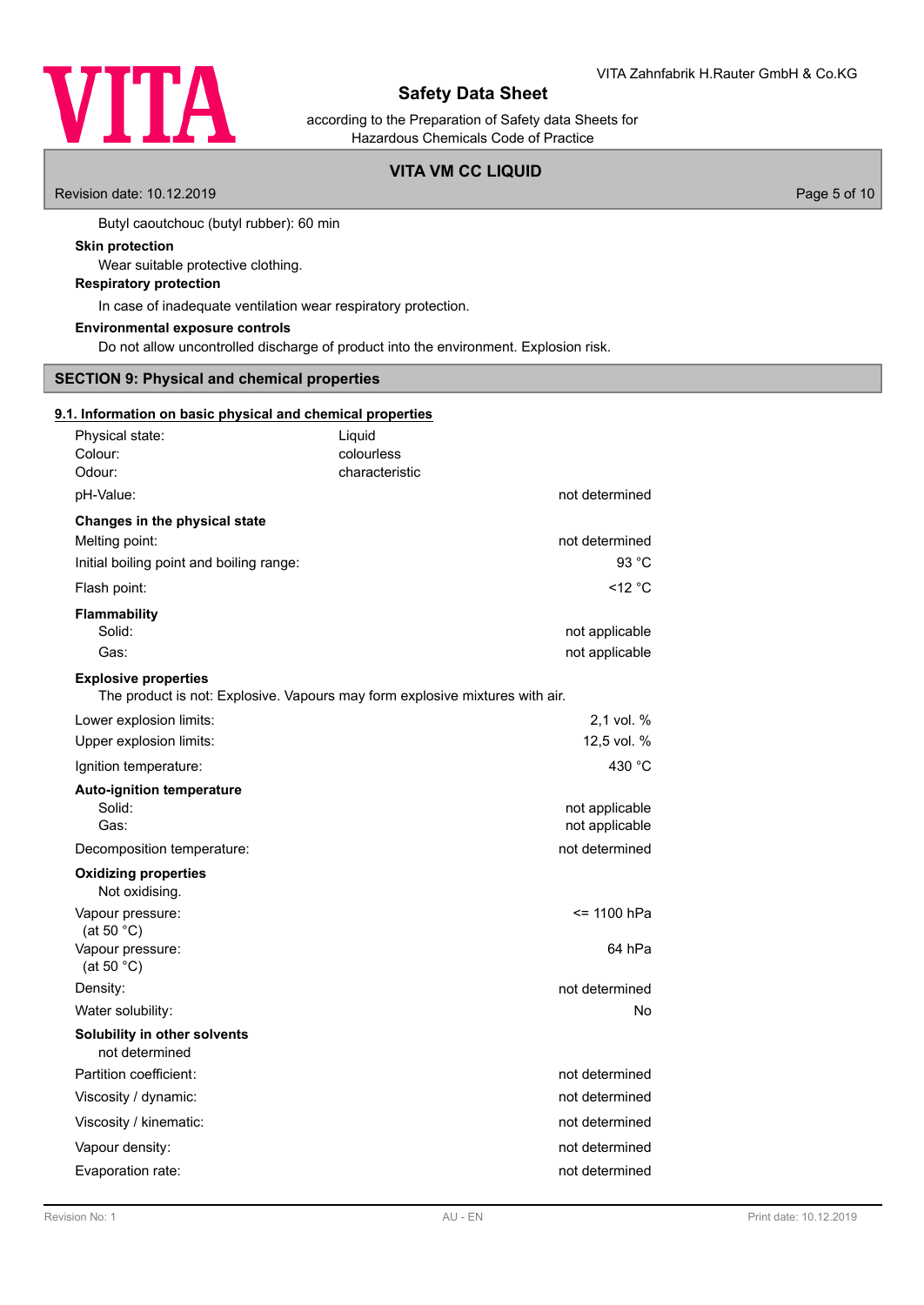

according to the Preparation of Safety data Sheets for Hazardous Chemicals Code of Practice

# **VITA VM CC LIQUID**

Revision date: 10.12.2019 **Page 5 of 10** 

Butyl caoutchouc (butyl rubber): 60 min

## **Skin protection**

Wear suitable protective clothing.

# **Respiratory protection**

In case of inadequate ventilation wear respiratory protection.

#### **Environmental exposure controls**

Do not allow uncontrolled discharge of product into the environment. Explosion risk.

# **SECTION 9: Physical and chemical properties**

### **9.1. Information on basic physical and chemical properties**

| Physical state:<br>Colour:<br>Odour:                                                                        | Liquid<br>colourless<br>characteristic |
|-------------------------------------------------------------------------------------------------------------|----------------------------------------|
| pH-Value:                                                                                                   | not determined                         |
| Changes in the physical state<br>Melting point:<br>Initial boiling point and boiling range:                 | not determined<br>93 °C                |
| Flash point:                                                                                                | $<$ 12 $^{\circ}$ C                    |
| <b>Flammability</b><br>Solid:<br>Gas:                                                                       | not applicable<br>not applicable       |
| <b>Explosive properties</b><br>The product is not: Explosive. Vapours may form explosive mixtures with air. |                                        |
| Lower explosion limits:<br>Upper explosion limits:                                                          | $2,1$ vol. %<br>12,5 vol. %            |
| Ignition temperature:                                                                                       | 430 °C                                 |
| <b>Auto-ignition temperature</b><br>Solid:<br>Gas:                                                          | not applicable<br>not applicable       |
| Decomposition temperature:                                                                                  | not determined                         |
| <b>Oxidizing properties</b><br>Not oxidising.                                                               |                                        |
| Vapour pressure:<br>(at 50 $°C$ )                                                                           | <= 1100 hPa                            |
| Vapour pressure:<br>(at 50 $°C$ )                                                                           | 64 hPa                                 |
| Density:                                                                                                    | not determined                         |
| Water solubility:                                                                                           | No                                     |
| Solubility in other solvents<br>not determined                                                              |                                        |
| Partition coefficient:                                                                                      | not determined                         |
| Viscosity / dynamic:                                                                                        | not determined                         |
| Viscosity / kinematic:                                                                                      | not determined                         |
| Vapour density:                                                                                             | not determined                         |
| Evaporation rate:                                                                                           | not determined                         |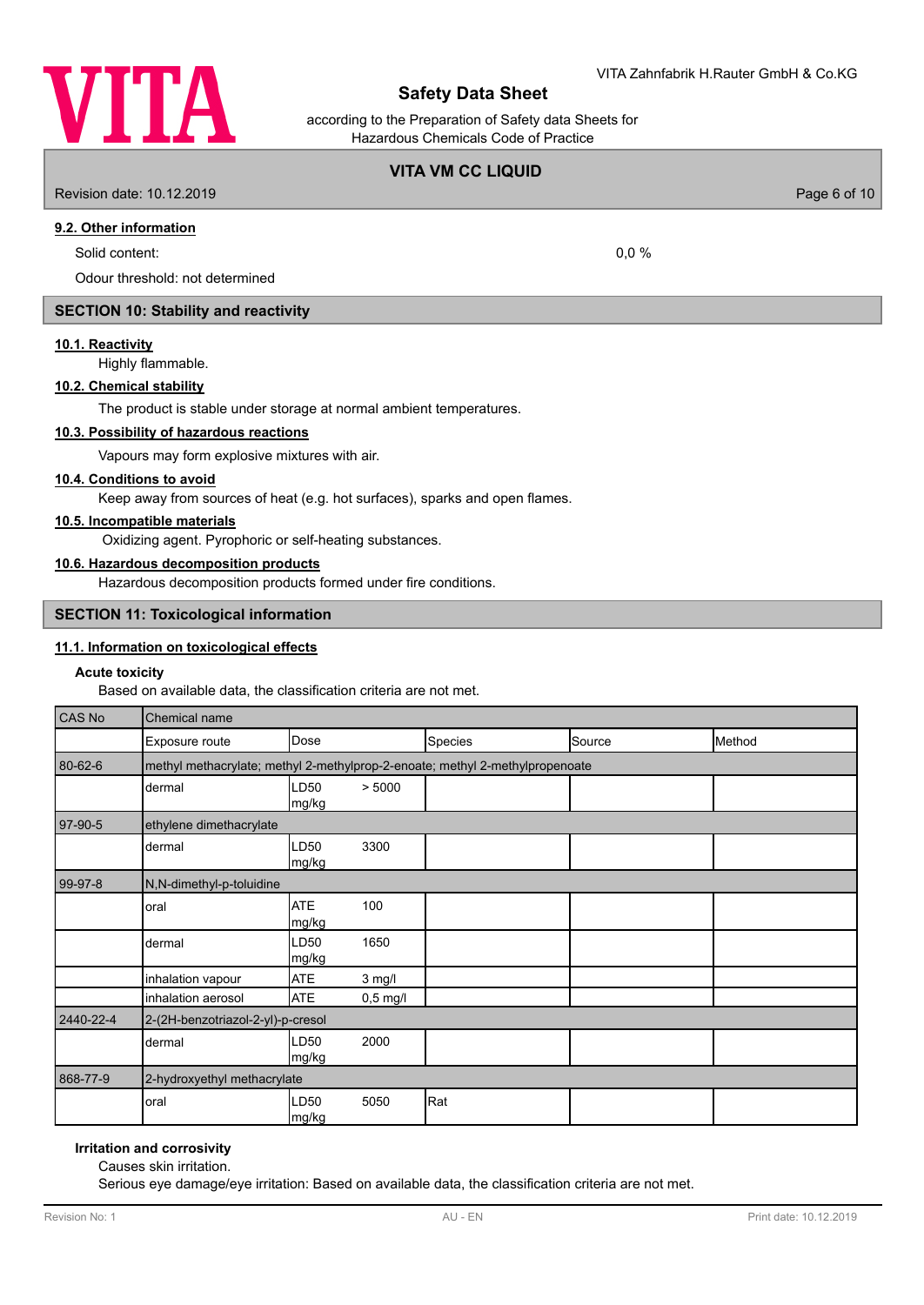

according to the Preparation of Safety data Sheets for Hazardous Chemicals Code of Practice

## **VITA VM CC LIQUID**

Revision date: 10.12.2019 Page 6 of 10

# **9.2. Other information**

Solid content: 0.0 %

Odour threshold: not determined

# **SECTION 10: Stability and reactivity**

## **10.1. Reactivity**

Highly flammable.

## **10.2. Chemical stability**

The product is stable under storage at normal ambient temperatures.

# **10.3. Possibility of hazardous reactions**

Vapours may form explosive mixtures with air.

#### **10.4. Conditions to avoid**

Keep away from sources of heat (e.g. hot surfaces), sparks and open flames.

### **10.5. Incompatible materials**

Oxidizing agent. Pyrophoric or self-heating substances.

# **10.6. Hazardous decomposition products**

Hazardous decomposition products formed under fire conditions.

## **SECTION 11: Toxicological information**

### **11.1. Information on toxicological effects**

#### **Acute toxicity**

Based on available data, the classification criteria are not met.

| CAS No    | <b>Chemical name</b>              |                                                                              |            |         |        |        |  |
|-----------|-----------------------------------|------------------------------------------------------------------------------|------------|---------|--------|--------|--|
|           | Exposure route                    | Dose                                                                         |            | Species | Source | Method |  |
| 80-62-6   |                                   | methyl methacrylate; methyl 2-methylprop-2-enoate; methyl 2-methylpropenoate |            |         |        |        |  |
|           | dermal                            | LD50<br>mg/kg                                                                | > 5000     |         |        |        |  |
| 97-90-5   | ethylene dimethacrylate           |                                                                              |            |         |        |        |  |
|           | dermal                            | LD <sub>50</sub><br>mg/kg                                                    | 3300       |         |        |        |  |
| 99-97-8   | N,N-dimethyl-p-toluidine          |                                                                              |            |         |        |        |  |
|           | oral                              | <b>ATE</b><br>mg/kg                                                          | 100        |         |        |        |  |
|           | dermal                            | LD <sub>50</sub><br>mg/kg                                                    | 1650       |         |        |        |  |
|           | inhalation vapour                 | <b>ATE</b>                                                                   | $3$ mg/l   |         |        |        |  |
|           | inhalation aerosol                | <b>ATE</b>                                                                   | $0,5$ mg/l |         |        |        |  |
| 2440-22-4 | 2-(2H-benzotriazol-2-yl)-p-cresol |                                                                              |            |         |        |        |  |
|           | dermal                            | LD <sub>50</sub><br>mg/kg                                                    | 2000       |         |        |        |  |
| 868-77-9  | 2-hydroxyethyl methacrylate       |                                                                              |            |         |        |        |  |
|           | oral                              | LD <sub>50</sub><br>mg/kg                                                    | 5050       | Rat     |        |        |  |

# **Irritation and corrosivity**

Causes skin irritation.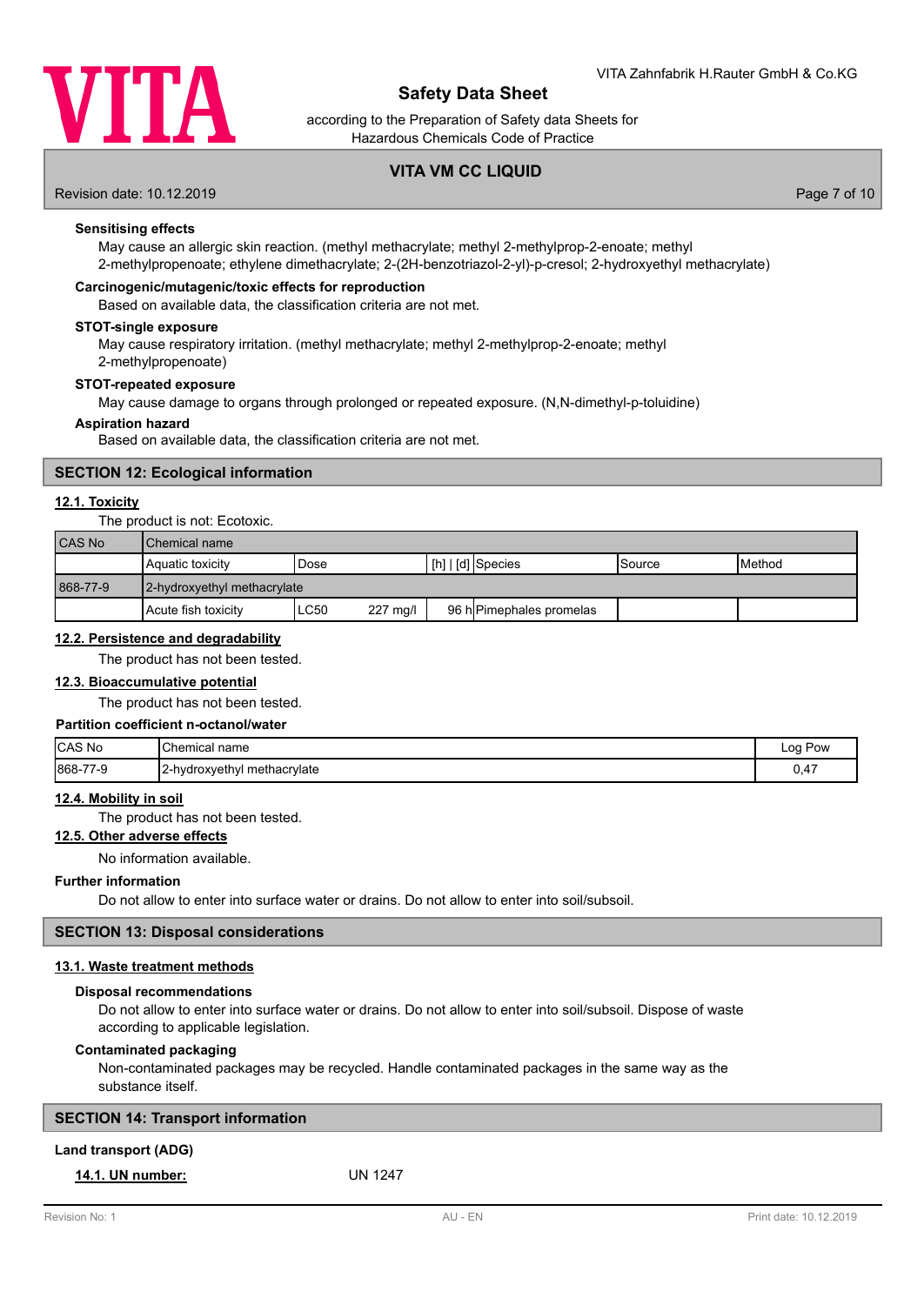

according to the Preparation of Safety data Sheets for Hazardous Chemicals Code of Practice

# **VITA VM CC LIQUID**

Revision date: 10.12.2019 **Page 7** of 10

## **Sensitising effects**

May cause an allergic skin reaction. (methyl methacrylate; methyl 2-methylprop-2-enoate; methyl 2-methylpropenoate; ethylene dimethacrylate; 2-(2H-benzotriazol-2-yl)-p-cresol; 2-hydroxyethyl methacrylate)

## **Carcinogenic/mutagenic/toxic effects for reproduction**

Based on available data, the classification criteria are not met.

### **STOT-single exposure**

May cause respiratory irritation. (methyl methacrylate; methyl 2-methylprop-2-enoate; methyl 2-methylpropenoate)

#### **STOT-repeated exposure**

May cause damage to organs through prolonged or repeated exposure. (N,N-dimethyl-p-toluidine)

#### **Aspiration hazard**

Based on available data, the classification criteria are not met.

# **SECTION 12: Ecological information**

### **12.1. Toxicity**

#### The product is not: Ecotoxic.

| CAS No   | <b>I</b> Chemical name      |      |          |  |                                 |         |                 |
|----------|-----------------------------|------|----------|--|---------------------------------|---------|-----------------|
|          | Aquatic toxicity            | Dose |          |  | $\vert$ [h] $\vert$ [d] Species | ISource | <b>I</b> Method |
| 868-77-9 | 2-hydroxyethyl methacrylate |      |          |  |                                 |         |                 |
|          | l Acute fish toxicitv       | LC50 | 227 mg/l |  | 96 h Pimephales promelas        |         |                 |

### **12.2. Persistence and degradability**

The product has not been tested.

### **12.3. Bioaccumulative potential**

The product has not been tested.

### **Partition coefficient n-octanol/water**

| CAS No          | <b>Chemical name</b>         | Loa<br>Pow |
|-----------------|------------------------------|------------|
| 868-77-9<br>7-9 | 12-hydroxyethyl methacrylate | 0.47       |

### **12.4. Mobility in soil**

The product has not been tested.

# **12.5. Other adverse effects**

No information available.

## **Further information**

Do not allow to enter into surface water or drains. Do not allow to enter into soil/subsoil.

## **SECTION 13: Disposal considerations**

### **13.1. Waste treatment methods**

### **Disposal recommendations**

Do not allow to enter into surface water or drains. Do not allow to enter into soil/subsoil. Dispose of waste according to applicable legislation.

### **Contaminated packaging**

Non-contaminated packages may be recycled. Handle contaminated packages in the same way as the substance itself.

# **Land transport (ADG)**

# **14.1. UN number:** UN 1247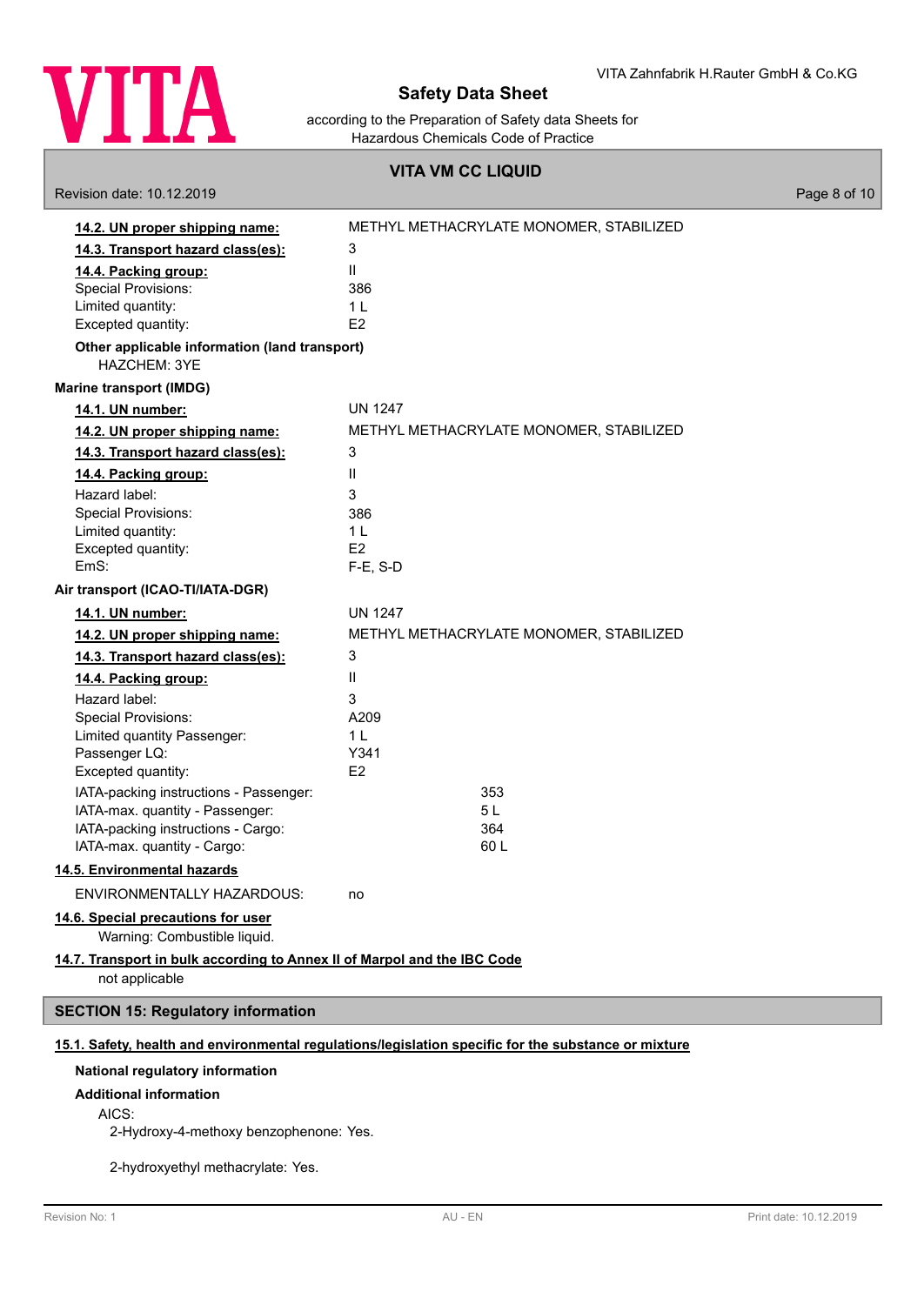

according to the Preparation of Safety data Sheets for Hazardous Chemicals Code of Practice

## **VITA VM CC LIQUID**

Revision date: 10.12.2019 **Page 8 of 10** 

| 14.2. UN proper shipping name:                                                             | METHYL METHACRYLATE MONOMER, STABILIZED                                                              |
|--------------------------------------------------------------------------------------------|------------------------------------------------------------------------------------------------------|
| 14.3. Transport hazard class(es):                                                          | 3                                                                                                    |
| 14.4. Packing group:                                                                       | Ш                                                                                                    |
| <b>Special Provisions:</b>                                                                 | 386                                                                                                  |
| Limited quantity:                                                                          | 1 <sub>L</sub>                                                                                       |
| Excepted quantity:                                                                         | E2                                                                                                   |
| Other applicable information (land transport)<br>HAZCHEM: 3YE                              |                                                                                                      |
| <b>Marine transport (IMDG)</b>                                                             |                                                                                                      |
| 14.1. UN number:                                                                           | <b>UN 1247</b>                                                                                       |
| 14.2. UN proper shipping name:                                                             | METHYL METHACRYLATE MONOMER, STABILIZED                                                              |
| 14.3. Transport hazard class(es):                                                          | 3                                                                                                    |
| 14.4. Packing group:                                                                       | Ш                                                                                                    |
| Hazard label:                                                                              | 3                                                                                                    |
| <b>Special Provisions:</b>                                                                 | 386                                                                                                  |
| Limited quantity:                                                                          | 1 <sub>L</sub>                                                                                       |
| Excepted quantity:                                                                         | E <sub>2</sub>                                                                                       |
| EmS:                                                                                       | $F-E$ , S-D                                                                                          |
| Air transport (ICAO-TI/IATA-DGR)                                                           |                                                                                                      |
| 14.1. UN number:                                                                           | <b>UN 1247</b>                                                                                       |
| 14.2. UN proper shipping name:                                                             | METHYL METHACRYLATE MONOMER, STABILIZED                                                              |
| 14.3. Transport hazard class(es):                                                          | 3                                                                                                    |
| 14.4. Packing group:                                                                       | Ш                                                                                                    |
| Hazard label:                                                                              | 3                                                                                                    |
| <b>Special Provisions:</b>                                                                 | A209                                                                                                 |
| Limited quantity Passenger:                                                                | 1 <sub>L</sub>                                                                                       |
| Passenger LQ:                                                                              | Y341                                                                                                 |
| Excepted quantity:                                                                         | E2                                                                                                   |
| IATA-packing instructions - Passenger:                                                     | 353                                                                                                  |
| IATA-max. quantity - Passenger:                                                            | 5L                                                                                                   |
| IATA-packing instructions - Cargo:                                                         | 364                                                                                                  |
| IATA-max. quantity - Cargo:                                                                | 60L                                                                                                  |
| 14.5. Environmental hazards                                                                |                                                                                                      |
| ENVIRONMENTALLY HAZARDOUS:                                                                 | no                                                                                                   |
| 14.6. Special precautions for user                                                         |                                                                                                      |
| Warning: Combustible liquid.                                                               |                                                                                                      |
| 14.7. Transport in bulk according to Annex II of Marpol and the IBC Code<br>not applicable |                                                                                                      |
|                                                                                            |                                                                                                      |
| <b>SECTION 15: Regulatory information</b>                                                  |                                                                                                      |
|                                                                                            | 15.1. Safety, health and environmental regulations/legislation specific for the substance or mixture |
| National regulatory information                                                            |                                                                                                      |
| <b>Additional information</b>                                                              |                                                                                                      |
| AICS:                                                                                      |                                                                                                      |
| 2-Hydroxy-4-methoxy benzophenone: Yes.                                                     |                                                                                                      |
|                                                                                            |                                                                                                      |
|                                                                                            |                                                                                                      |

2-hydroxyethyl methacrylate: Yes.

ľ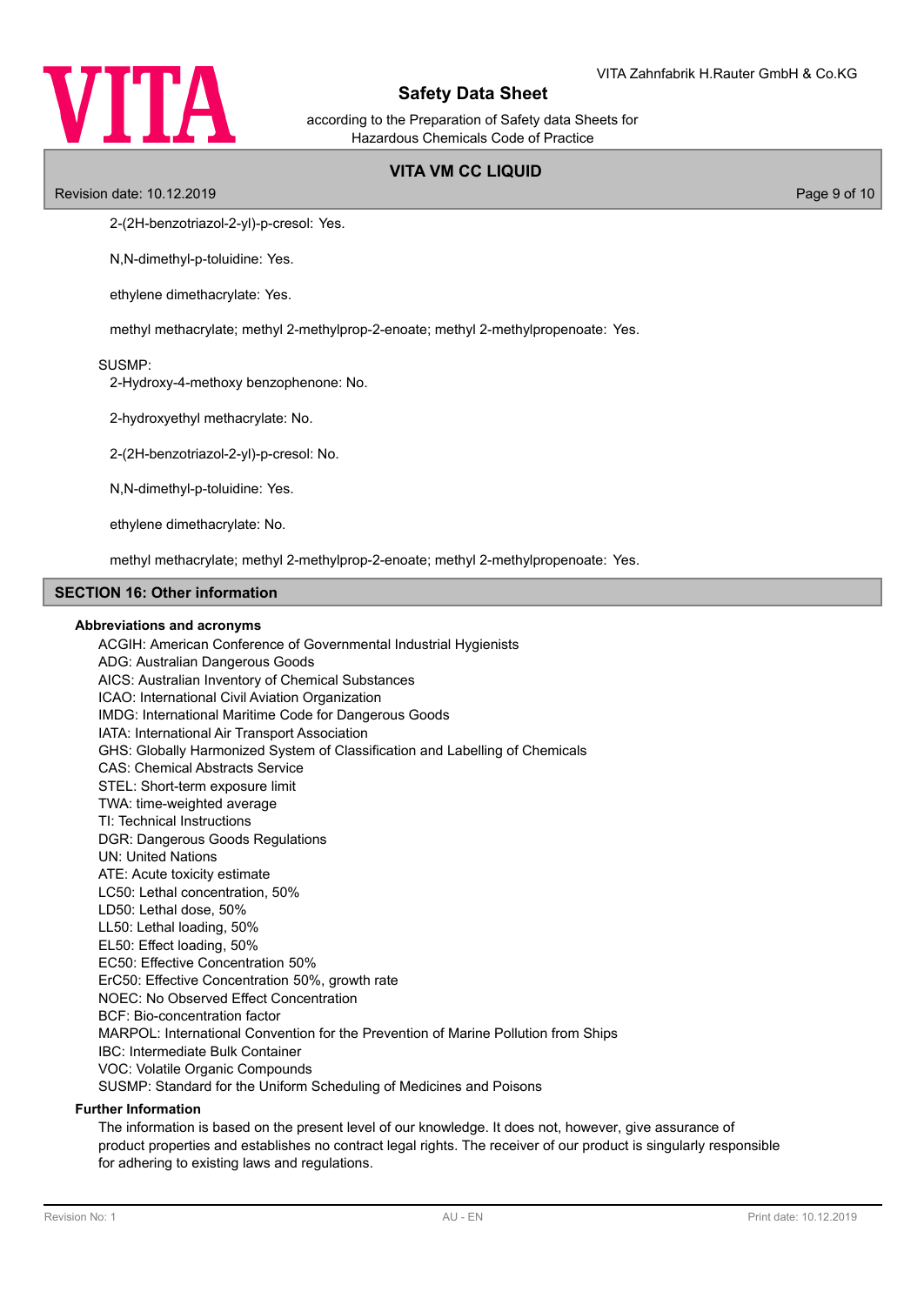

according to the Preparation of Safety data Sheets for Hazardous Chemicals Code of Practice

# **VITA VM CC LIQUID**

Revision date: 10.12.2019 Page 9 of 10

2-(2H-benzotriazol-2-yl)-p-cresol: Yes.

N,N-dimethyl-p-toluidine: Yes.

ethylene dimethacrylate: Yes.

methyl methacrylate; methyl 2-methylprop-2-enoate; methyl 2-methylpropenoate: Yes.

### SUSMP:

2-Hydroxy-4-methoxy benzophenone: No.

2-hydroxyethyl methacrylate: No.

2-(2H-benzotriazol-2-yl)-p-cresol: No.

N,N-dimethyl-p-toluidine: Yes.

ethylene dimethacrylate: No.

methyl methacrylate; methyl 2-methylprop-2-enoate; methyl 2-methylpropenoate: Yes.

#### **SECTION 16: Other information**

### **Abbreviations and acronyms**

ACGIH: American Conference of Governmental Industrial Hygienists ADG: Australian Dangerous Goods AICS: Australian Inventory of Chemical Substances ICAO: International Civil Aviation Organization IMDG: International Maritime Code for Dangerous Goods IATA: International Air Transport Association GHS: Globally Harmonized System of Classification and Labelling of Chemicals CAS: Chemical Abstracts Service STEL: Short-term exposure limit TWA: time-weighted average TI: Technical Instructions DGR: Dangerous Goods Regulations UN: United Nations ATE: Acute toxicity estimate LC50: Lethal concentration, 50% LD50: Lethal dose, 50% LL50: Lethal loading, 50% EL50: Effect loading, 50% EC50: Effective Concentration 50% ErC50: Effective Concentration 50%, growth rate NOEC: No Observed Effect Concentration BCF: Bio-concentration factor MARPOL: International Convention for the Prevention of Marine Pollution from Ships IBC: Intermediate Bulk Container VOC: Volatile Organic Compounds SUSMP: Standard for the Uniform Scheduling of Medicines and Poisons

## **Further Information**

The information is based on the present level of our knowledge. It does not, however, give assurance of product properties and establishes no contract legal rights. The receiver of our product is singularly responsible for adhering to existing laws and regulations.